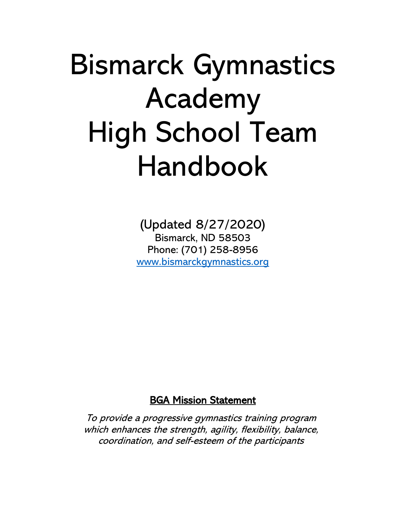# Bismarck Gymnastics Academy High School Team Handbook

(Updated 8/27/2020) Bismarck, ND 58503 Phone: (701) 258-8956 [www.bismarckgymnastics.org](http://www.bismarckgymnastics.org/)

# BGA Mission Statement

To provide a progressive gymnastics training program which enhances the strength, agility, flexibility, balance, coordination, and self-esteem of the participants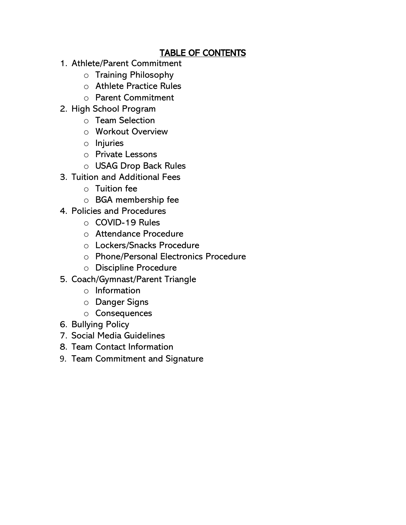# TABLE OF CONTENTS

- 1. Athlete/Parent Commitment
	- o Training Philosophy
	- o Athlete Practice Rules
	- o Parent Commitment
- 2. High School Program
	- o Team Selection
	- o Workout Overview
	- o Injuries
	- o Private Lessons
	- o USAG Drop Back Rules
- 3. Tuition and Additional Fees
	- $\circ$  Tuition fee
	- o BGA membership fee
- 4. Policies and Procedures
	- o COVID-19 Rules
	- o Attendance Procedure
	- o Lockers/Snacks Procedure
	- o Phone/Personal Electronics Procedure
	- o Discipline Procedure
- 5. Coach/Gymnast/Parent Triangle
	- o Information
	- o Danger Signs
	- o Consequences
- 6. Bullying Policy
- 7. Social Media Guidelines
- 8. Team Contact Information
- 9. Team Commitment and Signature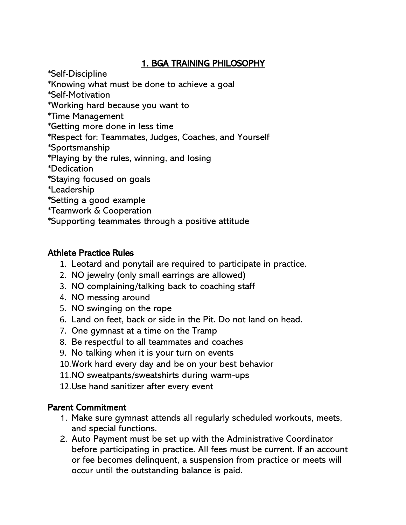# 1. BGA TRAINING PHILOSOPHY

\*Self-Discipline

- \*Knowing what must be done to achieve a goal
- \*Self-Motivation
- \*Working hard because you want to
- \*Time Management
- \*Getting more done in less time
- \*Respect for: Teammates, Judges, Coaches, and Yourself
- \*Sportsmanship

\*Playing by the rules, winning, and losing

\*Dedication

- \*Staying focused on goals
- \*Leadership
- \*Setting a good example
- \*Teamwork & Cooperation
- \*Supporting teammates through a positive attitude

# Athlete Practice Rules

- 1. Leotard and ponytail are required to participate in practice.
- 2. NO jewelry (only small earrings are allowed)
- 3. NO complaining/talking back to coaching staff
- 4. NO messing around
- 5. NO swinging on the rope
- 6. Land on feet, back or side in the Pit. Do not land on head.
- 7. One gymnast at a time on the Tramp
- 8. Be respectful to all teammates and coaches
- 9. No talking when it is your turn on events
- 10.Work hard every day and be on your best behavior
- 11.NO sweatpants/sweatshirts during warm-ups
- 12.Use hand sanitizer after every event

# Parent Commitment

- 1. Make sure gymnast attends all regularly scheduled workouts, meets, and special functions.
- 2. Auto Payment must be set up with the Administrative Coordinator before participating in practice. All fees must be current. If an account or fee becomes delinquent, a suspension from practice or meets will occur until the outstanding balance is paid.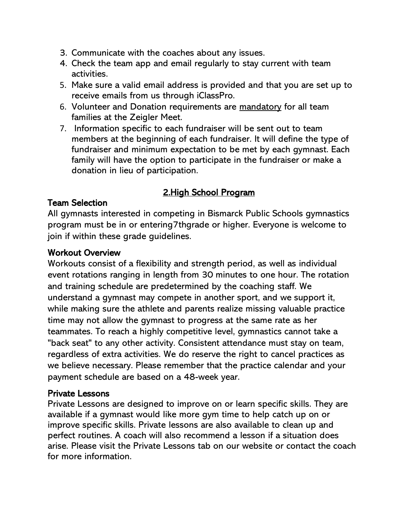- 3. Communicate with the coaches about any issues.
- 4. Check the team app and email regularly to stay current with team activities.
- 5. Make sure a valid email address is provided and that you are set up to receive emails from us through iClassPro.
- 6. Volunteer and Donation requirements are mandatory for all team families at the Zeigler Meet.
- 7. Information specific to each fundraiser will be sent out to team members at the beginning of each fundraiser. It will define the type of fundraiser and minimum expectation to be met by each gymnast. Each family will have the option to participate in the fundraiser or make a donation in lieu of participation.

# 2.High School Program

#### Team Selection

All gymnasts interested in competing in Bismarck Public Schools gymnastics program must be in or entering7thgrade or higher. Everyone is welcome to join if within these grade guidelines.

#### Workout Overview

Workouts consist of a flexibility and strength period, as well as individual event rotations ranging in length from 30 minutes to one hour. The rotation and training schedule are predetermined by the coaching staff. We understand a gymnast may compete in another sport, and we support it, while making sure the athlete and parents realize missing valuable practice time may not allow the gymnast to progress at the same rate as her teammates. To reach a highly competitive level, gymnastics cannot take a "back seat" to any other activity. Consistent attendance must stay on team, regardless of extra activities. We do reserve the right to cancel practices as we believe necessary. Please remember that the practice calendar and your payment schedule are based on a 48-week year.

#### Private Lessons

Private Lessons are designed to improve on or learn specific skills. They are available if a gymnast would like more gym time to help catch up on or improve specific skills. Private lessons are also available to clean up and perfect routines. A coach will also recommend a lesson if a situation does arise. Please visit the Private Lessons tab on our website or contact the coach for more information.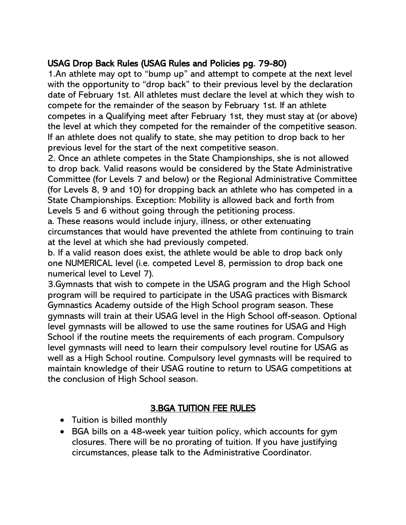# USAG Drop Back Rules (USAG Rules and Policies pg. 79-80)

1.An athlete may opt to "bump up" and attempt to compete at the next level with the opportunity to "drop back" to their previous level by the declaration date of February 1st. All athletes must declare the level at which they wish to compete for the remainder of the season by February 1st. If an athlete competes in a Qualifying meet after February 1st, they must stay at (or above) the level at which they competed for the remainder of the competitive season. If an athlete does not qualify to state, she may petition to drop back to her previous level for the start of the next competitive season.

2. Once an athlete competes in the State Championships, she is not allowed to drop back. Valid reasons would be considered by the State Administrative Committee (for Levels 7 and below) or the Regional Administrative Committee (for Levels 8, 9 and 10) for dropping back an athlete who has competed in a State Championships. Exception: Mobility is allowed back and forth from Levels 5 and 6 without going through the petitioning process.

a. These reasons would include injury, illness, or other extenuating circumstances that would have prevented the athlete from continuing to train at the level at which she had previously competed.

b. If a valid reason does exist, the athlete would be able to drop back only one NUMERICAL level (i.e. competed Level 8, permission to drop back one numerical level to Level 7).

3.Gymnasts that wish to compete in the USAG program and the High School program will be required to participate in the USAG practices with Bismarck Gymnastics Academy outside of the High School program season. These gymnasts will train at their USAG level in the High School off-season. Optional level gymnasts will be allowed to use the same routines for USAG and High School if the routine meets the requirements of each program. Compulsory level gymnasts will need to learn their compulsory level routine for USAG as well as a High School routine. Compulsory level gymnasts will be required to maintain knowledge of their USAG routine to return to USAG competitions at the conclusion of High School season.

# 3.BGA TUITION FEE RULES

- Tuition is billed monthly
- BGA bills on a 48-week year tuition policy, which accounts for gym closures. There will be no prorating of tuition. If you have justifying circumstances, please talk to the Administrative Coordinator.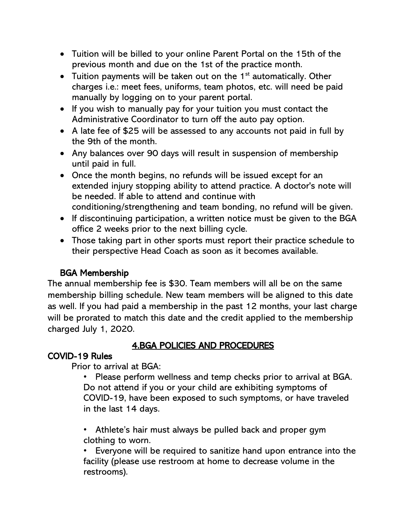- Tuition will be billed to your online Parent Portal on the 15th of the previous month and due on the 1st of the practice month.
- Tuition payments will be taken out on the  $1<sup>st</sup>$  automatically. Other charges i.e.: meet fees, uniforms, team photos, etc. will need be paid manually by logging on to your parent portal.
- If you wish to manually pay for your tuition you must contact the Administrative Coordinator to turn off the auto pay option.
- A late fee of \$25 will be assessed to any accounts not paid in full by the 9th of the month.
- Any balances over 90 days will result in suspension of membership until paid in full.
- Once the month begins, no refunds will be issued except for an extended injury stopping ability to attend practice. A doctor's note will be needed. If able to attend and continue with conditioning/strengthening and team bonding, no refund will be given.
- If discontinuing participation, a written notice must be given to the BGA office 2 weeks prior to the next billing cycle.
- Those taking part in other sports must report their practice schedule to their perspective Head Coach as soon as it becomes available.

# BGA Membership

The annual membership fee is \$30. Team members will all be on the same membership billing schedule. New team members will be aligned to this date as well. If you had paid a membership in the past 12 months, your last charge will be prorated to match this date and the credit applied to the membership charged July 1, 2020.

# 4.BGA POLICIES AND PROCEDURES

#### COVID-19 Rules

Prior to arrival at BGA:

• Please perform wellness and temp checks prior to arrival at BGA. Do not attend if you or your child are exhibiting symptoms of COVID-19, have been exposed to such symptoms, or have traveled in the last 14 days.

• Athlete's hair must always be pulled back and proper gym clothing to worn.

• Everyone will be required to sanitize hand upon entrance into the facility (please use restroom at home to decrease volume in the restrooms).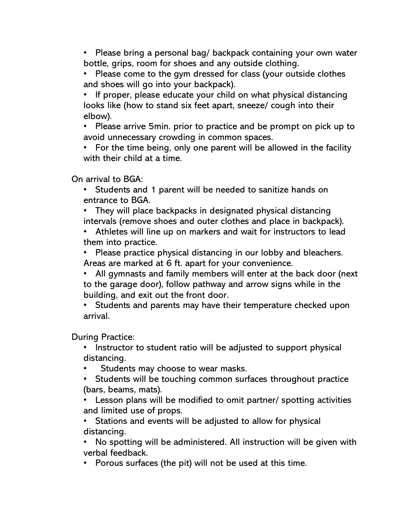• Please bring a personal bag/ backpack containing your own water bottle, grips, room for shoes and any outside clothing.

• Please come to the gym dressed for class (your outside clothes and shoes will go into your backpack).

• If proper, please educate your child on what physical distancing looks like (how to stand six feet apart, sneeze/ cough into their elbow).

• Please arrive 5min. prior to practice and be prompt on pick up to avoid unnecessary crowding in common spaces.

• For the time being, only one parent will be allowed in the facility with their child at a time.

On arrival to BGA:

• Students and 1 parent will be needed to sanitize hands on entrance to BGA.

• They will place backpacks in designated physical distancing intervals (remove shoes and outer clothes and place in backpack).

• Athletes will line up on markers and wait for instructors to lead them into practice.

• Please practice physical distancing in our lobby and bleachers. Areas are marked at 6 ft. apart for your convenience.

• All gymnasts and family members will enter at the back door (next to the garage door), follow pathway and arrow signs while in the building, and exit out the front door.

• Students and parents may have their temperature checked upon arrival.

During Practice:

• Instructor to student ratio will be adjusted to support physical distancing.

Students may choose to wear masks.

• Students will be touching common surfaces throughout practice (bars, beams, mats).

• Lesson plans will be modified to omit partner/ spotting activities and limited use of props.

• Stations and events will be adjusted to allow for physical distancing.

• No spotting will be administered. All instruction will be given with verbal feedback.

• Porous surfaces (the pit) will not be used at this time.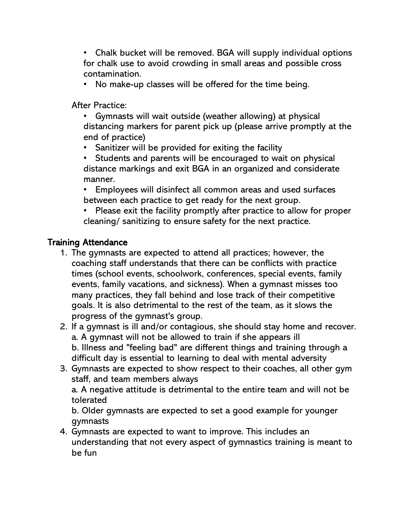• Chalk bucket will be removed. BGA will supply individual options for chalk use to avoid crowding in small areas and possible cross contamination.

• No make-up classes will be offered for the time being.

After Practice:

- Gymnasts will wait outside (weather allowing) at physical distancing markers for parent pick up (please arrive promptly at the end of practice)
- Sanitizer will be provided for exiting the facility
- Students and parents will be encouraged to wait on physical distance markings and exit BGA in an organized and considerate manner.
- Employees will disinfect all common areas and used surfaces between each practice to get ready for the next group.
- Please exit the facility promptly after practice to allow for proper cleaning/ sanitizing to ensure safety for the next practice.

#### Training Attendance

- 1. The gymnasts are expected to attend all practices; however, the coaching staff understands that there can be conflicts with practice times (school events, schoolwork, conferences, special events, family events, family vacations, and sickness). When a gymnast misses too many practices, they fall behind and lose track of their competitive goals. It is also detrimental to the rest of the team, as it slows the progress of the gymnast's group.
- 2. If a gymnast is ill and/or contagious, she should stay home and recover. a. A gymnast will not be allowed to train if she appears ill b. Illness and "feeling bad" are different things and training through a difficult day is essential to learning to deal with mental adversity
- 3. Gymnasts are expected to show respect to their coaches, all other gym staff, and team members always

a. A negative attitude is detrimental to the entire team and will not be tolerated

b. Older gymnasts are expected to set a good example for younger gymnasts

4. Gymnasts are expected to want to improve. This includes an understanding that not every aspect of gymnastics training is meant to be fun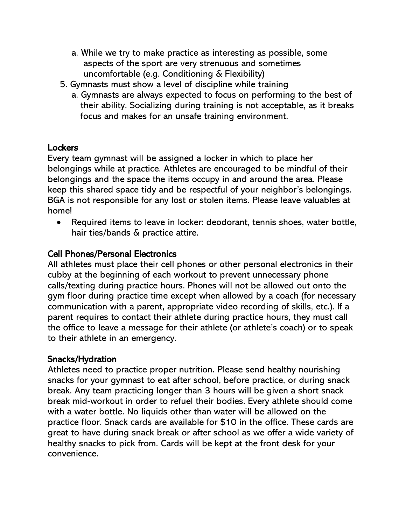- a. While we try to make practice as interesting as possible, some aspects of the sport are very strenuous and sometimes uncomfortable (e.g. Conditioning & Flexibility)
- 5. Gymnasts must show a level of discipline while training
	- a. Gymnasts are always expected to focus on performing to the best of their ability. Socializing during training is not acceptable, as it breaks focus and makes for an unsafe training environment.

#### **Lockers**

Every team gymnast will be assigned a locker in which to place her belongings while at practice. Athletes are encouraged to be mindful of their belongings and the space the items occupy in and around the area. Please keep this shared space tidy and be respectful of your neighbor's belongings. BGA is not responsible for any lost or stolen items. Please leave valuables at home!

• Required items to leave in locker: deodorant, tennis shoes, water bottle, hair ties/bands & practice attire.

#### Cell Phones/Personal Electronics

All athletes must place their cell phones or other personal electronics in their cubby at the beginning of each workout to prevent unnecessary phone calls/texting during practice hours. Phones will not be allowed out onto the gym floor during practice time except when allowed by a coach (for necessary communication with a parent, appropriate video recording of skills, etc.). If a parent requires to contact their athlete during practice hours, they must call the office to leave a message for their athlete (or athlete's coach) or to speak to their athlete in an emergency.

#### Snacks/Hydration

Athletes need to practice proper nutrition. Please send healthy nourishing snacks for your gymnast to eat after school, before practice, or during snack break. Any team practicing longer than 3 hours will be given a short snack break mid-workout in order to refuel their bodies. Every athlete should come with a water bottle. No liquids other than water will be allowed on the practice floor. Snack cards are available for \$10 in the office. These cards are great to have during snack break or after school as we offer a wide variety of healthy snacks to pick from. Cards will be kept at the front desk for your convenience.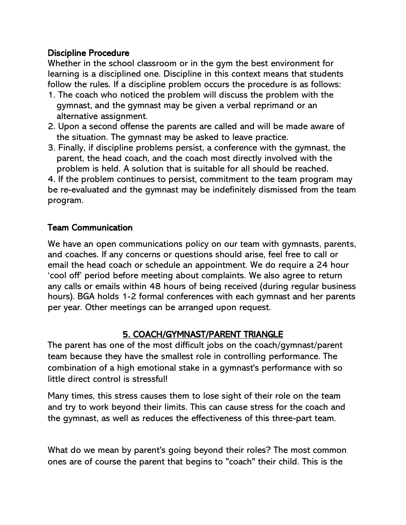#### Discipline Procedure

Whether in the school classroom or in the gym the best environment for learning is a disciplined one. Discipline in this context means that students follow the rules. If a discipline problem occurs the procedure is as follows:

- 1. The coach who noticed the problem will discuss the problem with the gymnast, and the gymnast may be given a verbal reprimand or an alternative assignment.
- 2. Upon a second offense the parents are called and will be made aware of the situation. The gymnast may be asked to leave practice.
- 3. Finally, if discipline problems persist, a conference with the gymnast, the parent, the head coach, and the coach most directly involved with the problem is held. A solution that is suitable for all should be reached.

4. If the problem continues to persist, commitment to the team program may be re-evaluated and the gymnast may be indefinitely dismissed from the team program.

#### Team Communication

We have an open communications policy on our team with gymnasts, parents, and coaches. If any concerns or questions should arise, feel free to call or email the head coach or schedule an appointment. We do require a 24 hour 'cool off' period before meeting about complaints. We also agree to return any calls or emails within 48 hours of being received (during regular business hours). BGA holds 1-2 formal conferences with each gymnast and her parents per year. Other meetings can be arranged upon request.

# 5. COACH/GYMNAST/PARENT TRIANGLE

The parent has one of the most difficult jobs on the coach/gymnast/parent team because they have the smallest role in controlling performance. The combination of a high emotional stake in a gymnast's performance with so little direct control is stressful!

Many times, this stress causes them to lose sight of their role on the team and try to work beyond their limits. This can cause stress for the coach and the gymnast, as well as reduces the effectiveness of this three-part team.

What do we mean by parent's going beyond their roles? The most common ones are of course the parent that begins to "coach" their child. This is the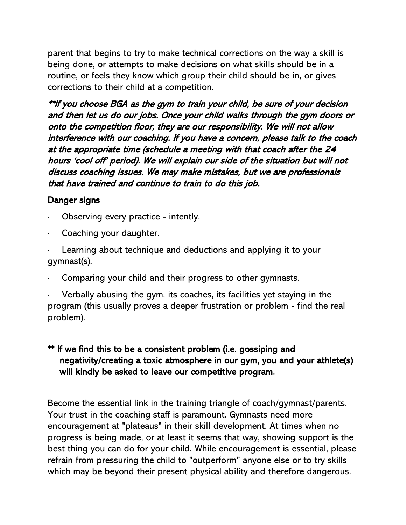parent that begins to try to make technical corrections on the way a skill is being done, or attempts to make decisions on what skills should be in a routine, or feels they know which group their child should be in, or gives corrections to their child at a competition.

\*\*If you choose BGA as the gym to train your child, be sure of your decision and then let us do our jobs. Once your child walks through the gym doors or onto the competition floor, they are our responsibility. We will not allow interference with our coaching. If you have a concern, please talk to the coach at the appropriate time (schedule a meeting with that coach after the 24 hours 'cool off' period). We will explain our side of the situation but will not discuss coaching issues. We may make mistakes, but we are professionals that have trained and continue to train to do this job.

#### Danger signs

- Observing every practice intently.
- Coaching your daughter.
- Learning about technique and deductions and applying it to your gymnast(s).
- Comparing your child and their progress to other gymnasts.

Verbally abusing the gym, its coaches, its facilities yet staying in the program (this usually proves a deeper frustration or problem - find the real problem).

#### \*\* If we find this to be a consistent problem (i.e. gossiping and negativity/creating a toxic atmosphere in our gym, you and your athlete(s) will kindly be asked to leave our competitive program.

Become the essential link in the training triangle of coach/gymnast/parents. Your trust in the coaching staff is paramount. Gymnasts need more encouragement at "plateaus" in their skill development. At times when no progress is being made, or at least it seems that way, showing support is the best thing you can do for your child. While encouragement is essential, please refrain from pressuring the child to "outperform" anyone else or to try skills which may be beyond their present physical ability and therefore dangerous.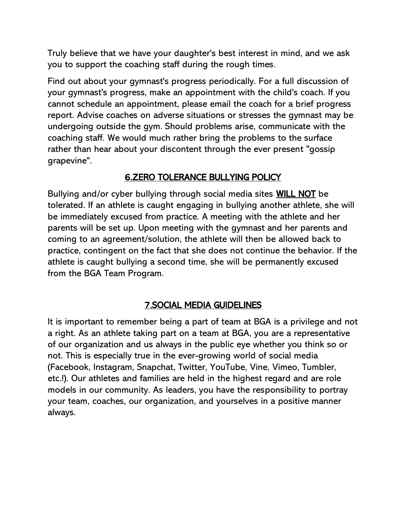Truly believe that we have your daughter's best interest in mind, and we ask you to support the coaching staff during the rough times.

Find out about your gymnast's progress periodically. For a full discussion of your gymnast's progress, make an appointment with the child's coach. If you cannot schedule an appointment, please email the coach for a brief progress report. Advise coaches on adverse situations or stresses the gymnast may be undergoing outside the gym. Should problems arise, communicate with the coaching staff. We would much rather bring the problems to the surface rather than hear about your discontent through the ever present "gossip grapevine".

# 6.ZERO TOLERANCE BULLYING POLICY

Bullying and/or cyber bullying through social media sites WILL NOT be tolerated. If an athlete is caught engaging in bullying another athlete, she will be immediately excused from practice. A meeting with the athlete and her parents will be set up. Upon meeting with the gymnast and her parents and coming to an agreement/solution, the athlete will then be allowed back to practice, contingent on the fact that she does not continue the behavior. If the athlete is caught bullying a second time, she will be permanently excused from the BGA Team Program.

# 7.SOCIAL MEDIA GUIDELINES

It is important to remember being a part of team at BGA is a privilege and not a right. As an athlete taking part on a team at BGA, you are a representative of our organization and us always in the public eye whether you think so or not. This is especially true in the ever-growing world of social media (Facebook, Instagram, Snapchat, Twitter, YouTube, Vine, Vimeo, Tumbler, etc.!). Our athletes and families are held in the highest regard and are role models in our community. As leaders, you have the responsibility to portray your team, coaches, our organization, and yourselves in a positive manner always.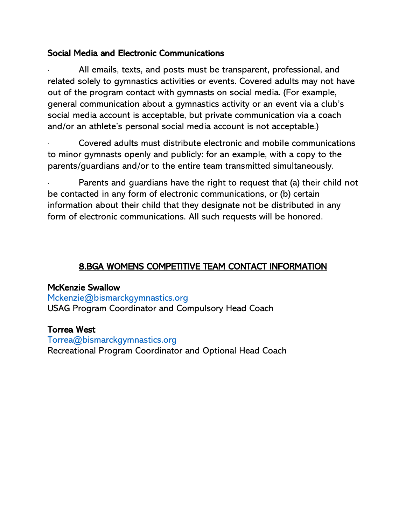#### Social Media and Electronic Communications

All emails, texts, and posts must be transparent, professional, and related solely to gymnastics activities or events. Covered adults may not have out of the program contact with gymnasts on social media. (For example, general communication about a gymnastics activity or an event via a club's social media account is acceptable, but private communication via a coach and/or an athlete's personal social media account is not acceptable.)

· Covered adults must distribute electronic and mobile communications to minor gymnasts openly and publicly: for an example, with a copy to the parents/guardians and/or to the entire team transmitted simultaneously.

Parents and guardians have the right to request that (a) their child not be contacted in any form of electronic communications, or (b) certain information about their child that they designate not be distributed in any form of electronic communications. All such requests will be honored.

# 8.BGA WOMENS COMPETITIVE TEAM CONTACT INFORMATION

#### McKenzie Swallow

[Mckenzie@bismarckgymnastics.org](mailto:Mckenzie@bismarckgymnastics.org) USAG Program Coordinator and Compulsory Head Coach

#### Torrea West

[Torrea@bismarckgymnastics.org](mailto:Torrea@bismarckgymnastics.org) Recreational Program Coordinator and Optional Head Coach